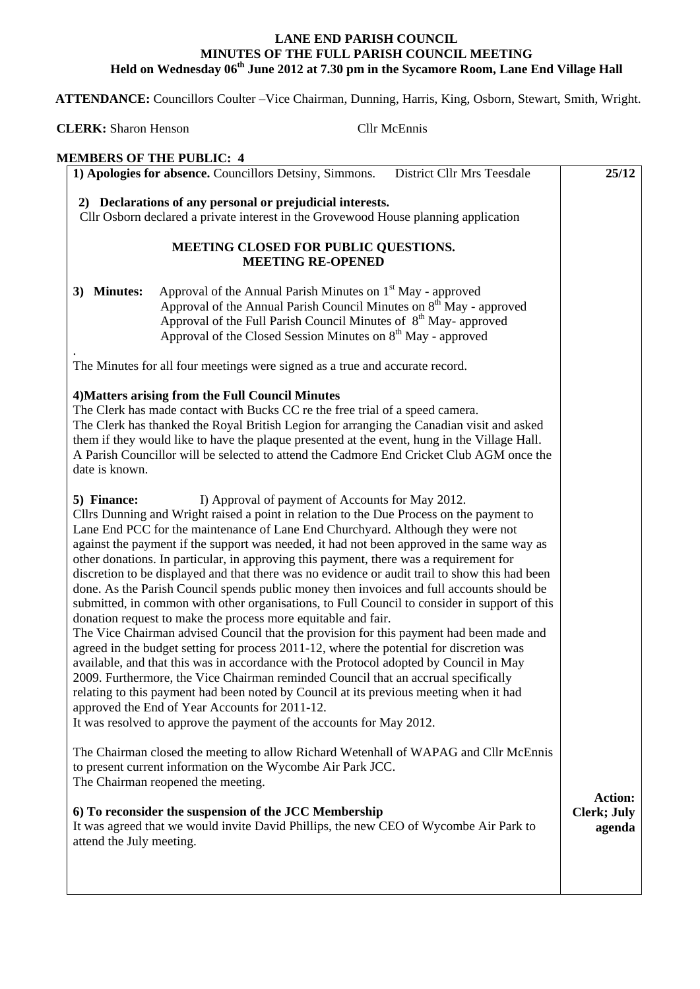## **LANE END PARISH COUNCIL MINUTES OF THE FULL PARISH COUNCIL MEETING Held on Wednesday 06th June 2012 at 7.30 pm in the Sycamore Room, Lane End Village Hall**

 **ATTENDANCE:** Councillors Coulter –Vice Chairman, Dunning, Harris, King, Osborn, Stewart, Smith, Wright.

**CLERK:** Sharon Henson Cllr McEnnis

| <b>MEMBERS OF THE PUBLIC: 4</b>                                                                                                                                                                                                                                                                                                                                                                                                                                                                                                                                                                                                                                                                                                                                                                                                                                                                                                                                                                                                                                                                                                                                                                                                                                                                                                                                                                    |                                                |
|----------------------------------------------------------------------------------------------------------------------------------------------------------------------------------------------------------------------------------------------------------------------------------------------------------------------------------------------------------------------------------------------------------------------------------------------------------------------------------------------------------------------------------------------------------------------------------------------------------------------------------------------------------------------------------------------------------------------------------------------------------------------------------------------------------------------------------------------------------------------------------------------------------------------------------------------------------------------------------------------------------------------------------------------------------------------------------------------------------------------------------------------------------------------------------------------------------------------------------------------------------------------------------------------------------------------------------------------------------------------------------------------------|------------------------------------------------|
| 1) Apologies for absence. Councillors Detsiny, Simmons.<br><b>District Cllr Mrs Teesdale</b>                                                                                                                                                                                                                                                                                                                                                                                                                                                                                                                                                                                                                                                                                                                                                                                                                                                                                                                                                                                                                                                                                                                                                                                                                                                                                                       | 25/12                                          |
| 2) Declarations of any personal or prejudicial interests.<br>Cllr Osborn declared a private interest in the Grovewood House planning application                                                                                                                                                                                                                                                                                                                                                                                                                                                                                                                                                                                                                                                                                                                                                                                                                                                                                                                                                                                                                                                                                                                                                                                                                                                   |                                                |
| MEETING CLOSED FOR PUBLIC QUESTIONS.<br><b>MEETING RE-OPENED</b>                                                                                                                                                                                                                                                                                                                                                                                                                                                                                                                                                                                                                                                                                                                                                                                                                                                                                                                                                                                                                                                                                                                                                                                                                                                                                                                                   |                                                |
| Approval of the Annual Parish Minutes on 1 <sup>st</sup> May - approved<br>3) Minutes:<br>Approval of the Annual Parish Council Minutes on $8th$ May - approved<br>Approval of the Full Parish Council Minutes of 8 <sup>th</sup> May- approved<br>Approval of the Closed Session Minutes on 8 <sup>th</sup> May - approved                                                                                                                                                                                                                                                                                                                                                                                                                                                                                                                                                                                                                                                                                                                                                                                                                                                                                                                                                                                                                                                                        |                                                |
| The Minutes for all four meetings were signed as a true and accurate record.                                                                                                                                                                                                                                                                                                                                                                                                                                                                                                                                                                                                                                                                                                                                                                                                                                                                                                                                                                                                                                                                                                                                                                                                                                                                                                                       |                                                |
| 4) Matters arising from the Full Council Minutes<br>The Clerk has made contact with Bucks CC re the free trial of a speed camera.<br>The Clerk has thanked the Royal British Legion for arranging the Canadian visit and asked<br>them if they would like to have the plaque presented at the event, hung in the Village Hall.<br>A Parish Councillor will be selected to attend the Cadmore End Cricket Club AGM once the<br>date is known.                                                                                                                                                                                                                                                                                                                                                                                                                                                                                                                                                                                                                                                                                                                                                                                                                                                                                                                                                       |                                                |
| I) Approval of payment of Accounts for May 2012.<br>5) Finance:<br>Cllrs Dunning and Wright raised a point in relation to the Due Process on the payment to<br>Lane End PCC for the maintenance of Lane End Churchyard. Although they were not<br>against the payment if the support was needed, it had not been approved in the same way as<br>other donations. In particular, in approving this payment, there was a requirement for<br>discretion to be displayed and that there was no evidence or audit trail to show this had been<br>done. As the Parish Council spends public money then invoices and full accounts should be<br>submitted, in common with other organisations, to Full Council to consider in support of this<br>donation request to make the process more equitable and fair.<br>The Vice Chairman advised Council that the provision for this payment had been made and<br>agreed in the budget setting for process 2011-12, where the potential for discretion was<br>available, and that this was in accordance with the Protocol adopted by Council in May<br>2009. Furthermore, the Vice Chairman reminded Council that an accrual specifically<br>relating to this payment had been noted by Council at its previous meeting when it had<br>approved the End of Year Accounts for 2011-12.<br>It was resolved to approve the payment of the accounts for May 2012. |                                                |
| The Chairman closed the meeting to allow Richard Wetenhall of WAPAG and Cllr McEnnis<br>to present current information on the Wycombe Air Park JCC.<br>The Chairman reopened the meeting.                                                                                                                                                                                                                                                                                                                                                                                                                                                                                                                                                                                                                                                                                                                                                                                                                                                                                                                                                                                                                                                                                                                                                                                                          |                                                |
| 6) To reconsider the suspension of the JCC Membership<br>It was agreed that we would invite David Phillips, the new CEO of Wycombe Air Park to<br>attend the July meeting.                                                                                                                                                                                                                                                                                                                                                                                                                                                                                                                                                                                                                                                                                                                                                                                                                                                                                                                                                                                                                                                                                                                                                                                                                         | <b>Action:</b><br><b>Clerk; July</b><br>agenda |
|                                                                                                                                                                                                                                                                                                                                                                                                                                                                                                                                                                                                                                                                                                                                                                                                                                                                                                                                                                                                                                                                                                                                                                                                                                                                                                                                                                                                    |                                                |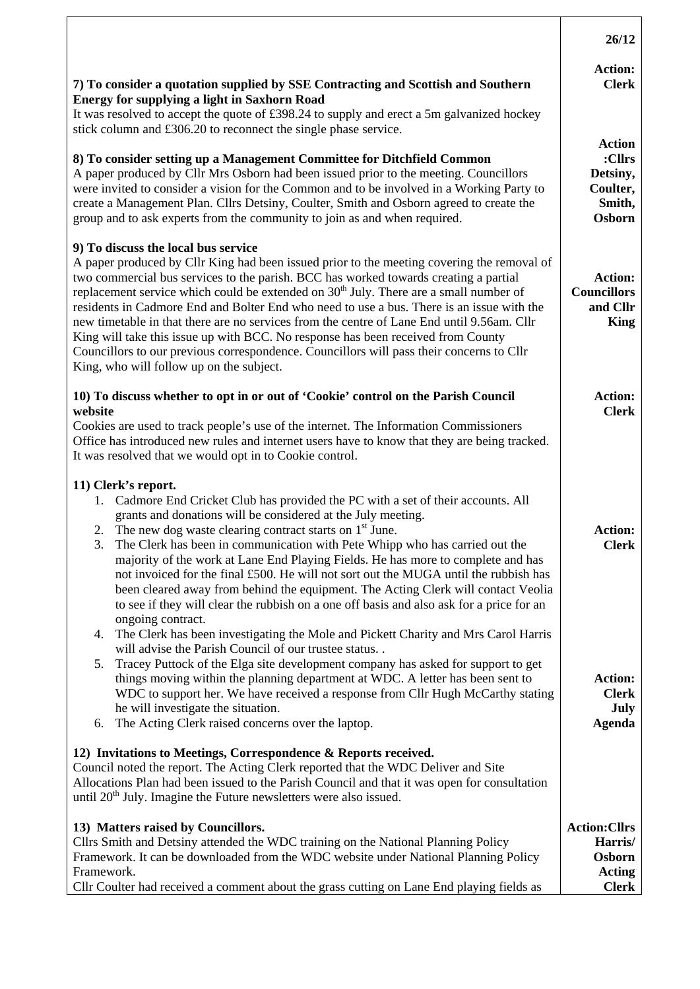|                                                                                                                                                                                                                                                                                                                                                                                                                                                                                                                                                                                                                                                                                                                                                                                                                                                                      | 26/12                                                                      |
|----------------------------------------------------------------------------------------------------------------------------------------------------------------------------------------------------------------------------------------------------------------------------------------------------------------------------------------------------------------------------------------------------------------------------------------------------------------------------------------------------------------------------------------------------------------------------------------------------------------------------------------------------------------------------------------------------------------------------------------------------------------------------------------------------------------------------------------------------------------------|----------------------------------------------------------------------------|
| 7) To consider a quotation supplied by SSE Contracting and Scottish and Southern<br><b>Energy for supplying a light in Saxhorn Road</b>                                                                                                                                                                                                                                                                                                                                                                                                                                                                                                                                                                                                                                                                                                                              | <b>Action:</b><br><b>Clerk</b>                                             |
| It was resolved to accept the quote of £398.24 to supply and erect a 5m galvanized hockey<br>stick column and £306.20 to reconnect the single phase service.                                                                                                                                                                                                                                                                                                                                                                                                                                                                                                                                                                                                                                                                                                         |                                                                            |
| 8) To consider setting up a Management Committee for Ditchfield Common<br>A paper produced by Cllr Mrs Osborn had been issued prior to the meeting. Councillors<br>were invited to consider a vision for the Common and to be involved in a Working Party to<br>create a Management Plan. Cllrs Detsiny, Coulter, Smith and Osborn agreed to create the<br>group and to ask experts from the community to join as and when required.                                                                                                                                                                                                                                                                                                                                                                                                                                 | <b>Action</b><br>:Cllrs<br>Detsiny,<br>Coulter,<br>Smith,<br><b>Osborn</b> |
| 9) To discuss the local bus service<br>A paper produced by Cllr King had been issued prior to the meeting covering the removal of<br>two commercial bus services to the parish. BCC has worked towards creating a partial<br>replacement service which could be extended on 30 <sup>th</sup> July. There are a small number of<br>residents in Cadmore End and Bolter End who need to use a bus. There is an issue with the<br>new timetable in that there are no services from the centre of Lane End until 9.56am. Cllr<br>King will take this issue up with BCC. No response has been received from County<br>Councillors to our previous correspondence. Councillors will pass their concerns to Cllr<br>King, who will follow up on the subject.                                                                                                                | <b>Action:</b><br><b>Councillors</b><br>and Cllr<br><b>King</b>            |
| 10) To discuss whether to opt in or out of 'Cookie' control on the Parish Council<br>website<br>Cookies are used to track people's use of the internet. The Information Commissioners<br>Office has introduced new rules and internet users have to know that they are being tracked.<br>It was resolved that we would opt in to Cookie control.                                                                                                                                                                                                                                                                                                                                                                                                                                                                                                                     | <b>Action:</b><br><b>Clerk</b>                                             |
| 11) Clerk's report.<br>1. Cadmore End Cricket Club has provided the PC with a set of their accounts. All<br>grants and donations will be considered at the July meeting.<br>The new dog waste clearing contract starts on 1 <sup>st</sup> June.<br>2.<br>The Clerk has been in communication with Pete Whipp who has carried out the<br>3.<br>majority of the work at Lane End Playing Fields. He has more to complete and has<br>not invoiced for the final £500. He will not sort out the MUGA until the rubbish has<br>been cleared away from behind the equipment. The Acting Clerk will contact Veolia<br>to see if they will clear the rubbish on a one off basis and also ask for a price for an                                                                                                                                                              | <b>Action:</b><br><b>Clerk</b>                                             |
| ongoing contract.<br>The Clerk has been investigating the Mole and Pickett Charity and Mrs Carol Harris<br>4.<br>will advise the Parish Council of our trustee status<br>Tracey Puttock of the Elga site development company has asked for support to get<br>5.<br>things moving within the planning department at WDC. A letter has been sent to<br>WDC to support her. We have received a response from Cllr Hugh McCarthy stating<br>he will investigate the situation.<br>The Acting Clerk raised concerns over the laptop.<br>6.<br>12) Invitations to Meetings, Correspondence & Reports received.<br>Council noted the report. The Acting Clerk reported that the WDC Deliver and Site<br>Allocations Plan had been issued to the Parish Council and that it was open for consultation<br>until $20th$ July. Imagine the Future newsletters were also issued. | <b>Action:</b><br><b>Clerk</b><br>July<br><b>Agenda</b>                    |
| 13) Matters raised by Councillors.<br>Cllrs Smith and Detsiny attended the WDC training on the National Planning Policy<br>Framework. It can be downloaded from the WDC website under National Planning Policy<br>Framework.<br>Cllr Coulter had received a comment about the grass cutting on Lane End playing fields as                                                                                                                                                                                                                                                                                                                                                                                                                                                                                                                                            | <b>Action:Cllrs</b><br>Harris/<br>Osborn<br><b>Acting</b><br><b>Clerk</b>  |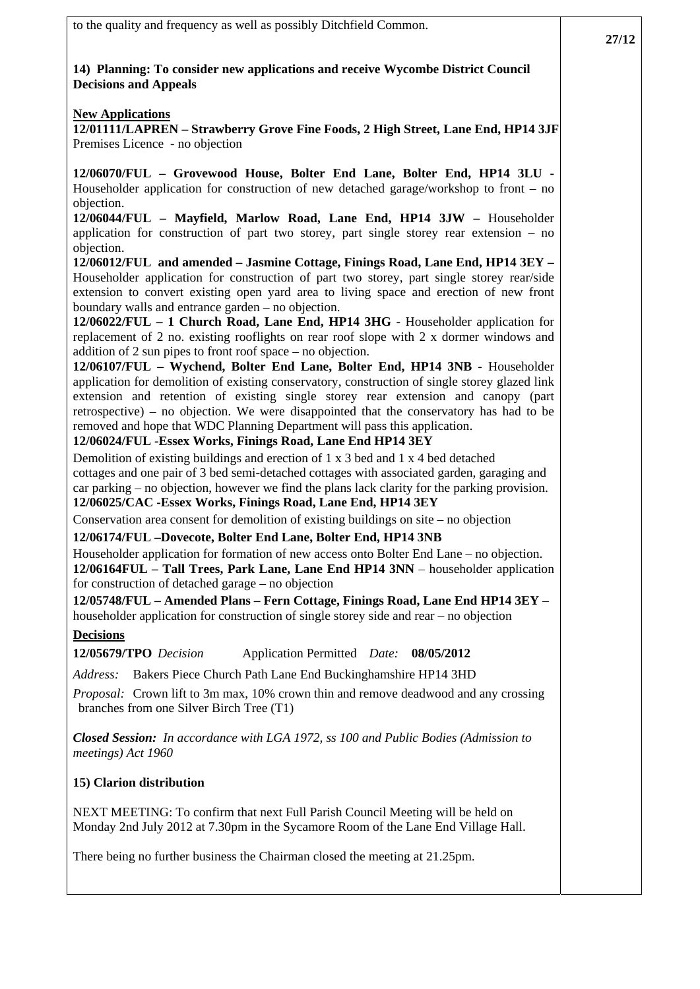to the quality and frequency as well as possibly Ditchfield Common. **14) Planning: To consider new applications and receive Wycombe District Council Decisions and Appeals New Applications 12/01111/LAPREN – Strawberry Grove Fine Foods, 2 High Street, Lane End, HP14 3JF**  Premises Licence - no objection **12/06070/FUL – Grovewood House, Bolter End Lane, Bolter End, HP14 3LU -**  Householder application for construction of new detached garage/workshop to front – no objection. **12/06044/FUL – Mayfield, Marlow Road, Lane End, HP14 3JW –** Householder application for construction of part two storey, part single storey rear extension – no objection. **12/06012/FUL and amended – Jasmine Cottage, Finings Road, Lane End, HP14 3EY –** Householder application for construction of part two storey, part single storey rear/side extension to convert existing open yard area to living space and erection of new front boundary walls and entrance garden – no objection. **12/06022/FUL – 1 Church Road, Lane End, HP14 3HG** - Householder application for replacement of 2 no. existing rooflights on rear roof slope with 2 x dormer windows and addition of 2 sun pipes to front roof space – no objection. **12/06107/FUL – Wychend, Bolter End Lane, Bolter End, HP14 3NB** - Householder application for demolition of existing conservatory, construction of single storey glazed link extension and retention of existing single storey rear extension and canopy (part retrospective) – no objection. We were disappointed that the conservatory has had to be removed and hope that WDC Planning Department will pass this application. **12/06024/FUL -Essex Works, Finings Road, Lane End HP14 3EY**  Demolition of existing buildings and erection of 1 x 3 bed and 1 x 4 bed detached cottages and one pair of 3 bed semi-detached cottages with associated garden, garaging and car parking – no objection, however we find the plans lack clarity for the parking provision. **12/06025/CAC -Essex Works, Finings Road, Lane End, HP14 3EY**  Conservation area consent for demolition of existing buildings on site – no objection **12/06174/FUL –Dovecote, Bolter End Lane, Bolter End, HP14 3NB** Householder application for formation of new access onto Bolter End Lane – no objection. **12/06164FUL – Tall Trees, Park Lane, Lane End HP14 3NN** – householder application for construction of detached garage – no objection **12/05748/FUL – Amended Plans – Fern Cottage, Finings Road, Lane End HP14 3EY** – householder application for construction of single storey side and rear – no objection **Decisions 12/05679/TPO** *Decision* Application Permitted *Date:* **08/05/2012**  *Address:* Bakers Piece Church Path Lane End Buckinghamshire HP14 3HD *Proposal:* Crown lift to 3m max, 10% crown thin and remove deadwood and any crossing branches from one Silver Birch Tree (T1) *Closed Session: In accordance with LGA 1972, ss 100 and Public Bodies (Admission to meetings) Act 1960*  **15) Clarion distribution**  NEXT MEETING: To confirm that next Full Parish Council Meeting will be held on Monday 2nd July 2012 at 7.30pm in the Sycamore Room of the Lane End Village Hall. There being no further business the Chairman closed the meeting at 21.25pm.

**27/12**